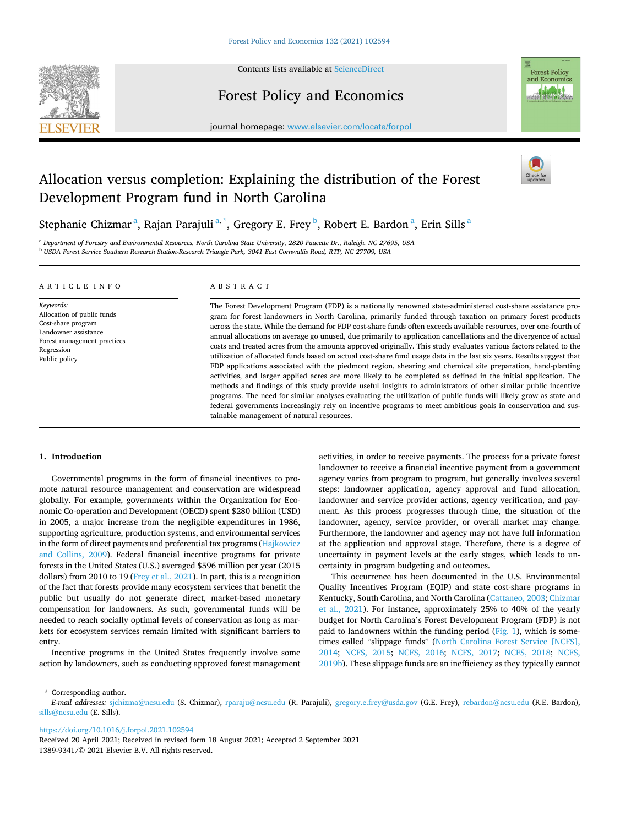

Contents lists available at [ScienceDirect](www.sciencedirect.com/science/journal/13899341)

# Forest Policy and Economics



journal homepage: [www.elsevier.com/locate/forpol](https://www.elsevier.com/locate/forpol) 

# Allocation versus completion: Explaining the distribution of the Forest Development Program fund in North Carolina

Stephanie Chizmar<sup>a</sup>, Rajan Parajuli<sup>a,\*</sup>, Gregory E. Frey<sup>b</sup>, Robert E. Bardon<sup>a</sup>, Erin Sills<sup>a</sup>

<sup>a</sup> *Department of Forestry and Environmental Resources, North Carolina State University, 2820 Faucette Dr., Raleigh, NC 27695, USA* <sup>b</sup> *USDA Forest Service Southern Research Station-Research Triangle Park, 3041 East Cornwallis Road, RTP, NC 27709, USA* 

#### ARTICLE INFO

*Keywords:*  Allocation of public funds Cost-share program Landowner assistance Forest management practices Regression Public policy

# ABSTRACT

The Forest Development Program (FDP) is a nationally renowned state-administered cost-share assistance program for forest landowners in North Carolina, primarily funded through taxation on primary forest products across the state. While the demand for FDP cost-share funds often exceeds available resources, over one-fourth of annual allocations on average go unused, due primarily to application cancellations and the divergence of actual costs and treated acres from the amounts approved originally. This study evaluates various factors related to the utilization of allocated funds based on actual cost-share fund usage data in the last six years. Results suggest that FDP applications associated with the piedmont region, shearing and chemical site preparation, hand-planting activities, and larger applied acres are more likely to be completed as defined in the initial application. The methods and findings of this study provide useful insights to administrators of other similar public incentive programs. The need for similar analyses evaluating the utilization of public funds will likely grow as state and federal governments increasingly rely on incentive programs to meet ambitious goals in conservation and sustainable management of natural resources.

# **1. Introduction**

Governmental programs in the form of financial incentives to promote natural resource management and conservation are widespread globally. For example, governments within the Organization for Economic Co-operation and Development (OECD) spent \$280 billion (USD) in 2005, a major increase from the negligible expenditures in 1986, supporting agriculture, production systems, and environmental services in the form of direct payments and preferential tax programs ([Hajkowicz](#page-8-0)  [and Collins, 2009\)](#page-8-0). Federal financial incentive programs for private forests in the United States (U.S.) averaged \$596 million per year (2015 dollars) from 2010 to 19 [\(Frey et al., 2021](#page-8-0)). In part, this is a recognition of the fact that forests provide many ecosystem services that benefit the public but usually do not generate direct, market-based monetary compensation for landowners. As such, governmental funds will be needed to reach socially optimal levels of conservation as long as markets for ecosystem services remain limited with significant barriers to entry.

Incentive programs in the United States frequently involve some action by landowners, such as conducting approved forest management

activities, in order to receive payments. The process for a private forest landowner to receive a financial incentive payment from a government agency varies from program to program, but generally involves several steps: landowner application, agency approval and fund allocation, landowner and service provider actions, agency verification, and payment. As this process progresses through time, the situation of the landowner, agency, service provider, or overall market may change. Furthermore, the landowner and agency may not have full information at the application and approval stage. Therefore, there is a degree of uncertainty in payment levels at the early stages, which leads to uncertainty in program budgeting and outcomes.

This occurrence has been documented in the U.S. Environmental Quality Incentives Program (EQIP) and state cost-share programs in Kentucky, South Carolina, and North Carolina ([Cattaneo, 2003](#page-8-0); [Chizmar](#page-8-0)  [et al., 2021\)](#page-8-0). For instance, approximately 25% to 40% of the yearly budget for North Carolina's Forest Development Program (FDP) is not paid to landowners within the funding period ([Fig. 1](#page-1-0)), which is sometimes called "slippage funds" ([North Carolina Forest Service \[NCFS\],](#page-9-0)  [2014;](#page-9-0) [NCFS, 2015;](#page-8-0) [NCFS, 2016;](#page-8-0) [NCFS, 2017](#page-8-0); [NCFS, 2018](#page-8-0); [NCFS,](#page-9-0)  [2019b\)](#page-9-0). These slippage funds are an inefficiency as they typically cannot

\* Corresponding author.

<https://doi.org/10.1016/j.forpol.2021.102594>

1389-9341/© 2021 Elsevier B.V. All rights reserved. Received 20 April 2021; Received in revised form 18 August 2021; Accepted 2 September 2021

*E-mail addresses:* [sjchizma@ncsu.edu](mailto:sjchizma@ncsu.edu) (S. Chizmar), [rparaju@ncsu.edu](mailto:rparaju@ncsu.edu) (R. Parajuli), [gregory.e.frey@usda.gov](mailto:gregory.e.frey@usda.gov) (G.E. Frey), [rebardon@ncsu.edu](mailto:rebardon@ncsu.edu) (R.E. Bardon), [sills@ncsu.edu](mailto:sills@ncsu.edu) (E. Sills).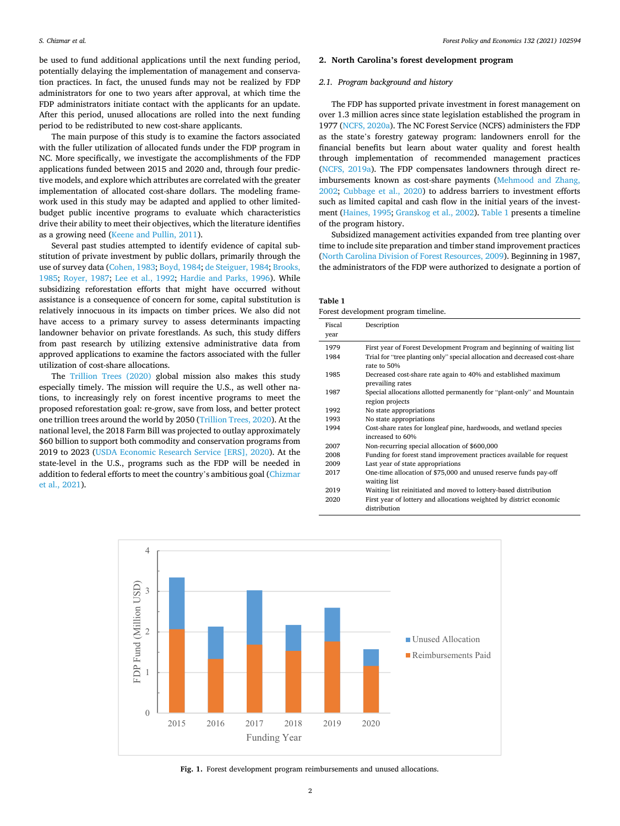<span id="page-1-0"></span>be used to fund additional applications until the next funding period, potentially delaying the implementation of management and conservation practices. In fact, the unused funds may not be realized by FDP administrators for one to two years after approval, at which time the FDP administrators initiate contact with the applicants for an update. After this period, unused allocations are rolled into the next funding period to be redistributed to new cost-share applicants.

The main purpose of this study is to examine the factors associated with the fuller utilization of allocated funds under the FDP program in NC. More specifically, we investigate the accomplishments of the FDP applications funded between 2015 and 2020 and, through four predictive models, and explore which attributes are correlated with the greater implementation of allocated cost-share dollars. The modeling framework used in this study may be adapted and applied to other limitedbudget public incentive programs to evaluate which characteristics drive their ability to meet their objectives, which the literature identifies as a growing need [\(Keene and Pullin, 2011\)](#page-8-0).

Several past studies attempted to identify evidence of capital substitution of private investment by public dollars, primarily through the use of survey data ([Cohen, 1983](#page-8-0); [Boyd, 1984](#page-8-0); [de Steiguer, 1984](#page-8-0); [Brooks,](#page-8-0)  [1985;](#page-8-0) [Royer, 1987](#page-9-0); [Lee et al., 1992;](#page-8-0) [Hardie and Parks, 1996](#page-8-0)). While subsidizing reforestation efforts that might have occurred without assistance is a consequence of concern for some, capital substitution is relatively innocuous in its impacts on timber prices. We also did not have access to a primary survey to assess determinants impacting landowner behavior on private forestlands. As such, this study differs from past research by utilizing extensive administrative data from approved applications to examine the factors associated with the fuller utilization of cost-share allocations.

The [Trillion Trees \(2020\)](#page-9-0) global mission also makes this study especially timely. The mission will require the U.S., as well other nations, to increasingly rely on forest incentive programs to meet the proposed reforestation goal: re-grow, save from loss, and better protect one trillion trees around the world by 2050 ([Trillion Trees, 2020\)](#page-9-0). At the national level, the 2018 Farm Bill was projected to outlay approximately \$60 billion to support both commodity and conservation programs from 2019 to 2023 ([USDA Economic Research Service \[ERS\], 2020\)](#page-9-0). At the state-level in the U.S., programs such as the FDP will be needed in addition to federal efforts to meet the country's ambitious goal [\(Chizmar](#page-8-0)  [et al., 2021\)](#page-8-0).

# **2. North Carolina's forest development program**

## *2.1. Program background and history*

The FDP has supported private investment in forest management on over 1.3 million acres since state legislation established the program in 1977 [\(NCFS, 2020a\)](#page-9-0). The NC Forest Service (NCFS) administers the FDP as the state's forestry gateway program: landowners enroll for the financial benefits but learn about water quality and forest health through implementation of recommended management practices ([NCFS, 2019a\)](#page-9-0). The FDP compensates landowners through direct reimbursements known as cost-share payments ([Mehmood and Zhang,](#page-8-0)  [2002;](#page-8-0) [Cubbage et al., 2020\)](#page-8-0) to address barriers to investment efforts such as limited capital and cash flow in the initial years of the investment ([Haines, 1995](#page-8-0); [Granskog et al., 2002\)](#page-8-0). Table 1 presents a timeline of the program history.

Subsidized management activities expanded from tree planting over time to include site preparation and timber stand improvement practices ([North Carolina Division of Forest Resources, 2009](#page-9-0)). Beginning in 1987, the administrators of the FDP were authorized to designate a portion of

**Table 1**  Forest development program timeline.

| Fiscal<br>year | Description                                                                               |
|----------------|-------------------------------------------------------------------------------------------|
| 1979           | First year of Forest Development Program and beginning of waiting list                    |
| 1984           | Trial for "tree planting only" special allocation and decreased cost-share<br>rate to 50% |
| 1985           | Decreased cost-share rate again to 40% and established maximum<br>prevailing rates        |
| 1987           | Special allocations allotted permanently for "plant-only" and Mountain<br>region projects |
| 1992           | No state appropriations                                                                   |
| 1993           | No state appropriations                                                                   |
| 1994           | Cost-share rates for longleaf pine, hardwoods, and wetland species<br>increased to 60%    |
| 2007           | Non-recurring special allocation of \$600,000                                             |
| 2008           | Funding for forest stand improvement practices available for request                      |
| 2009           | Last year of state appropriations                                                         |
| 2017           | One-time allocation of \$75,000 and unused reserve funds pay-off<br>waiting list          |
| 2019           | Waiting list reinitiated and moved to lottery-based distribution                          |
| 2020           | First year of lottery and allocations weighted by district economic<br>distribution       |



**Fig. 1.** Forest development program reimbursements and unused allocations.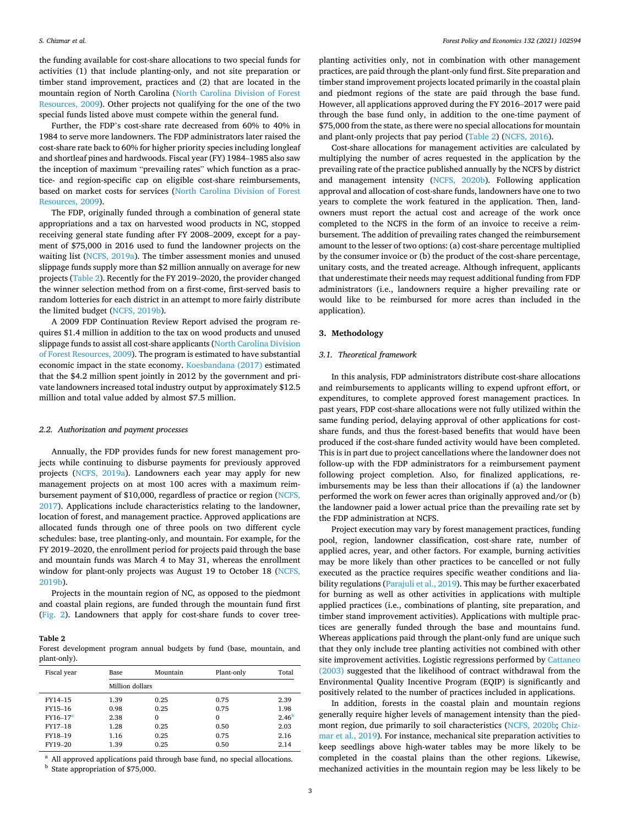the funding available for cost-share allocations to two special funds for activities (1) that include planting-only, and not site preparation or timber stand improvement, practices and (2) that are located in the mountain region of North Carolina ([North Carolina Division of Forest](#page-9-0)  [Resources, 2009\)](#page-9-0). Other projects not qualifying for the one of the two special funds listed above must compete within the general fund.

Further, the FDP's cost-share rate decreased from 60% to 40% in 1984 to serve more landowners. The FDP administrators later raised the cost-share rate back to 60% for higher priority species including longleaf and shortleaf pines and hardwoods. Fiscal year (FY) 1984–1985 also saw the inception of maximum "prevailing rates" which function as a practice- and region-specific cap on eligible cost-share reimbursements, based on market costs for services [\(North Carolina Division of Forest](#page-9-0)  [Resources, 2009](#page-9-0)).

The FDP, originally funded through a combination of general state appropriations and a tax on harvested wood products in NC, stopped receiving general state funding after FY 2008–2009, except for a payment of \$75,000 in 2016 used to fund the landowner projects on the waiting list [\(NCFS, 2019a](#page-9-0)). The timber assessment monies and unused slippage funds supply more than \$2 million annually on average for new projects (Table 2). Recently for the FY 2019–2020, the provider changed the winner selection method from on a first-come, first-served basis to random lotteries for each district in an attempt to more fairly distribute the limited budget [\(NCFS, 2019b\)](#page-9-0).

A 2009 FDP Continuation Review Report advised the program requires \$1.4 million in addition to the tax on wood products and unused slippage funds to assist all cost-share applicants [\(North Carolina Division](#page-9-0)  [of Forest Resources, 2009](#page-9-0)). The program is estimated to have substantial economic impact in the state economy. [Koesbandana \(2017\)](#page-8-0) estimated that the \$4.2 million spent jointly in 2012 by the government and private landowners increased total industry output by approximately \$12.5 million and total value added by almost \$7.5 million.

#### *2.2. Authorization and payment processes*

Annually, the FDP provides funds for new forest management projects while continuing to disburse payments for previously approved projects ([NCFS, 2019a](#page-9-0)). Landowners each year may apply for new management projects on at most 100 acres with a maximum reimbursement payment of \$10,000, regardless of practice or region [\(NCFS,](#page-8-0)  [2017\)](#page-8-0). Applications include characteristics relating to the landowner, location of forest, and management practice. Approved applications are allocated funds through one of three pools on two different cycle schedules: base, tree planting-only, and mountain. For example, for the FY 2019–2020, the enrollment period for projects paid through the base and mountain funds was March 4 to May 31, whereas the enrollment window for plant-only projects was August 19 to October 18 [\(NCFS,](#page-9-0)  [2019b\)](#page-9-0).

Projects in the mountain region of NC, as opposed to the piedmont and coastal plain regions, are funded through the mountain fund first ([Fig. 2](#page-3-0)). Landowners that apply for cost-share funds to cover tree-

#### **Table 2**

Forest development program annual budgets by fund (base, mountain, and plant-only).

| Fiscal year | Mountain<br>Base |          | Plant-only | Total             |
|-------------|------------------|----------|------------|-------------------|
|             | Million dollars  |          |            |                   |
| FY14-15     | 1.39             | 0.25     | 0.75       | 2.39              |
| FY15-16     | 0.98             | 0.25     | 0.75       | 1.98              |
| $FY16-17^a$ | 2.38             | $\Omega$ | 0          | 2.46 <sup>b</sup> |
| FY17-18     | 1.28             | 0.25     | 0.50       | 2.03              |
| FY18-19     | 1.16             | 0.25     | 0.75       | 2.16              |
| FY19-20     | 1.39             | 0.25     | 0.50       | 2.14              |

 $^{\rm a}$  All approved applications paid through base fund, no special allocations. b State appropriation of \$75,000.

planting activities only, not in combination with other management practices, are paid through the plant-only fund first. Site preparation and timber stand improvement projects located primarily in the coastal plain and piedmont regions of the state are paid through the base fund. However, all applications approved during the FY 2016–2017 were paid through the base fund only, in addition to the one-time payment of \$75,000 from the state, as there were no special allocations for mountain and plant-only projects that pay period (Table 2) [\(NCFS, 2016\)](#page-8-0).

Cost-share allocations for management activities are calculated by multiplying the number of acres requested in the application by the prevailing rate of the practice published annually by the NCFS by district and management intensity [\(NCFS, 2020b](#page-9-0)). Following application approval and allocation of cost-share funds, landowners have one to two years to complete the work featured in the application. Then, landowners must report the actual cost and acreage of the work once completed to the NCFS in the form of an invoice to receive a reimbursement. The addition of prevailing rates changed the reimbursement amount to the lesser of two options: (a) cost-share percentage multiplied by the consumer invoice or (b) the product of the cost-share percentage, unitary costs, and the treated acreage. Although infrequent, applicants that underestimate their needs may request additional funding from FDP administrators (i.e., landowners require a higher prevailing rate or would like to be reimbursed for more acres than included in the application).

# **3. Methodology**

## *3.1. Theoretical framework*

In this analysis, FDP administrators distribute cost-share allocations and reimbursements to applicants willing to expend upfront effort, or expenditures, to complete approved forest management practices. In past years, FDP cost-share allocations were not fully utilized within the same funding period, delaying approval of other applications for costshare funds, and thus the forest-based benefits that would have been produced if the cost-share funded activity would have been completed. This is in part due to project cancellations where the landowner does not follow-up with the FDP administrators for a reimbursement payment following project completion. Also, for finalized applications, reimbursements may be less than their allocations if (a) the landowner performed the work on fewer acres than originally approved and/or (b) the landowner paid a lower actual price than the prevailing rate set by the FDP administration at NCFS.

Project execution may vary by forest management practices, funding pool, region, landowner classification, cost-share rate, number of applied acres, year, and other factors. For example, burning activities may be more likely than other practices to be cancelled or not fully executed as the practice requires specific weather conditions and liability regulations ([Parajuli et al., 2019\)](#page-9-0). This may be further exacerbated for burning as well as other activities in applications with multiple applied practices (i.e., combinations of planting, site preparation, and timber stand improvement activities). Applications with multiple practices are generally funded through the base and mountains fund. Whereas applications paid through the plant-only fund are unique such that they only include tree planting activities not combined with other site improvement activities. Logistic regressions performed by [Cattaneo](#page-8-0)  [\(2003\)](#page-8-0) suggested that the likelihood of contract withdrawal from the Environmental Quality Incentive Program (EQIP) is significantly and positively related to the number of practices included in applications.

In addition, forests in the coastal plain and mountain regions generally require higher levels of management intensity than the piedmont region, due primarily to soil characteristics ([NCFS, 2020b](#page-9-0); [Chiz](#page-8-0)[mar et al., 2019](#page-8-0)). For instance, mechanical site preparation activities to keep seedlings above high-water tables may be more likely to be completed in the coastal plains than the other regions. Likewise, mechanized activities in the mountain region may be less likely to be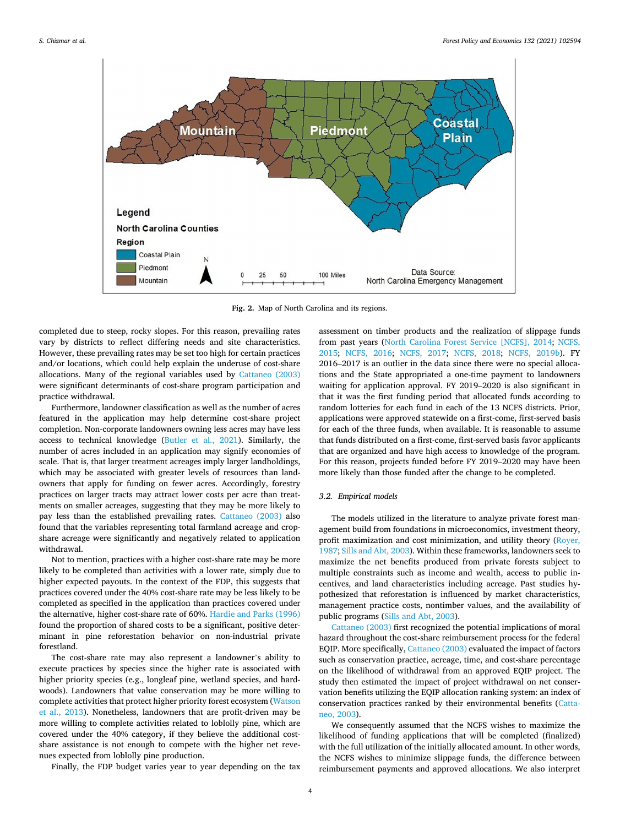<span id="page-3-0"></span>

**Fig. 2.** Map of North Carolina and its regions.

completed due to steep, rocky slopes. For this reason, prevailing rates vary by districts to reflect differing needs and site characteristics. However, these prevailing rates may be set too high for certain practices and/or locations, which could help explain the underuse of cost-share allocations. Many of the regional variables used by [Cattaneo \(2003\)](#page-8-0)  were significant determinants of cost-share program participation and practice withdrawal.

Furthermore, landowner classification as well as the number of acres featured in the application may help determine cost-share project completion. Non-corporate landowners owning less acres may have less access to technical knowledge [\(Butler et al., 2021\)](#page-8-0). Similarly, the number of acres included in an application may signify economies of scale. That is, that larger treatment acreages imply larger landholdings, which may be associated with greater levels of resources than landowners that apply for funding on fewer acres. Accordingly, forestry practices on larger tracts may attract lower costs per acre than treatments on smaller acreages, suggesting that they may be more likely to pay less than the established prevailing rates. [Cattaneo \(2003\)](#page-8-0) also found that the variables representing total farmland acreage and cropshare acreage were significantly and negatively related to application withdrawal.

Not to mention, practices with a higher cost-share rate may be more likely to be completed than activities with a lower rate, simply due to higher expected payouts. In the context of the FDP, this suggests that practices covered under the 40% cost-share rate may be less likely to be completed as specified in the application than practices covered under the alternative, higher cost-share rate of 60%. [Hardie and Parks \(1996\)](#page-8-0)  found the proportion of shared costs to be a significant, positive determinant in pine reforestation behavior on non-industrial private forestland.

The cost-share rate may also represent a landowner's ability to execute practices by species since the higher rate is associated with higher priority species (e.g., longleaf pine, wetland species, and hardwoods). Landowners that value conservation may be more willing to complete activities that protect higher priority forest ecosystem [\(Watson](#page-9-0)  [et al., 2013](#page-9-0)). Nonetheless, landowners that are profit-driven may be more willing to complete activities related to loblolly pine, which are covered under the 40% category, if they believe the additional costshare assistance is not enough to compete with the higher net revenues expected from loblolly pine production.

Finally, the FDP budget varies year to year depending on the tax

assessment on timber products and the realization of slippage funds from past years ([North Carolina Forest Service \[NCFS\], 2014;](#page-9-0) [NCFS,](#page-8-0)  [2015;](#page-8-0) [NCFS, 2016;](#page-8-0) [NCFS, 2017;](#page-8-0) [NCFS, 2018](#page-8-0); [NCFS, 2019b\)](#page-9-0). FY 2016–2017 is an outlier in the data since there were no special allocations and the State appropriated a one-time payment to landowners waiting for application approval. FY 2019–2020 is also significant in that it was the first funding period that allocated funds according to random lotteries for each fund in each of the 13 NCFS districts. Prior, applications were approved statewide on a first-come, first-served basis for each of the three funds, when available. It is reasonable to assume that funds distributed on a first-come, first-served basis favor applicants that are organized and have high access to knowledge of the program. For this reason, projects funded before FY 2019–2020 may have been more likely than those funded after the change to be completed.

# *3.2. Empirical models*

The models utilized in the literature to analyze private forest management build from foundations in microeconomics, investment theory, profit maximization and cost minimization, and utility theory ([Royer,](#page-9-0)  [1987; Sills and Abt, 2003\)](#page-9-0). Within these frameworks, landowners seek to maximize the net benefits produced from private forests subject to multiple constraints such as income and wealth, access to public incentives, and land characteristics including acreage. Past studies hypothesized that reforestation is influenced by market characteristics, management practice costs, nontimber values, and the availability of public programs ([Sills and Abt, 2003\)](#page-9-0).

[Cattaneo \(2003\)](#page-8-0) first recognized the potential implications of moral hazard throughout the cost-share reimbursement process for the federal EQIP. More specifically, [Cattaneo \(2003\)](#page-8-0) evaluated the impact of factors such as conservation practice, acreage, time, and cost-share percentage on the likelihood of withdrawal from an approved EQIP project. The study then estimated the impact of project withdrawal on net conservation benefits utilizing the EQIP allocation ranking system: an index of conservation practices ranked by their environmental benefits ([Catta](#page-8-0)[neo, 2003\)](#page-8-0).

We consequently assumed that the NCFS wishes to maximize the likelihood of funding applications that will be completed (finalized) with the full utilization of the initially allocated amount. In other words, the NCFS wishes to minimize slippage funds, the difference between reimbursement payments and approved allocations. We also interpret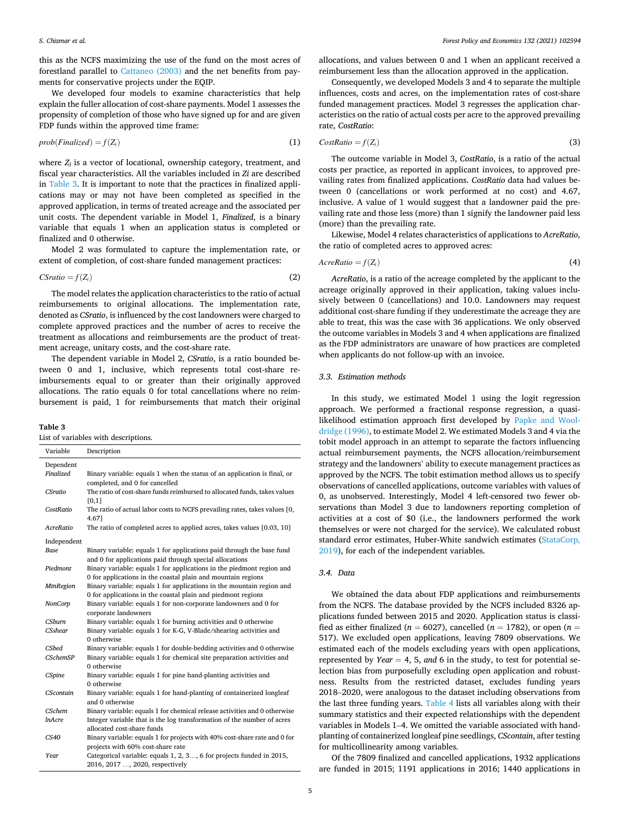this as the NCFS maximizing the use of the fund on the most acres of forestland parallel to [Cattaneo \(2003\)](#page-8-0) and the net benefits from payments for conservative projects under the EQIP.

We developed four models to examine characteristics that help explain the fuller allocation of cost-share payments. Model 1 assesses the propensity of completion of those who have signed up for and are given FDP funds within the approved time frame:

$$
prob(Finalized) = f(Z_i)
$$
 (1)

where  $Z_i$  is a vector of locational, ownership category, treatment, and fiscal year characteristics. All the variables included in *Zi* are described in Table 3. It is important to note that the practices in finalized applications may or may not have been completed as specified in the approved application, in terms of treated acreage and the associated per unit costs. The dependent variable in Model 1, *Finalized*, is a binary variable that equals 1 when an application status is completed or finalized and 0 otherwise.

Model 2 was formulated to capture the implementation rate, or extent of completion, of cost-share funded management practices:

$$
CS ratio = f(Z_i) \tag{2}
$$

The model relates the application characteristics to the ratio of actual reimbursements to original allocations. The implementation rate, denoted as *CSratio*, is influenced by the cost landowners were charged to complete approved practices and the number of acres to receive the treatment as allocations and reimbursements are the product of treatment acreage, unitary costs, and the cost-share rate.

The dependent variable in Model 2, *CSratio*, is a ratio bounded between 0 and 1, inclusive, which represents total cost-share reimbursements equal to or greater than their originally approved allocations. The ratio equals 0 for total cancellations where no reimbursement is paid, 1 for reimbursements that match their original

## **Table 3**

List of variables with descriptions.

| Variable         | Description                                                                                                                           |
|------------------|---------------------------------------------------------------------------------------------------------------------------------------|
| Dependent        |                                                                                                                                       |
| Finalized        | Binary variable: equals 1 when the status of an application is final, or<br>completed, and 0 for cancelled                            |
| <b>CSratio</b>   | The ratio of cost-share funds reimbursed to allocated funds, takes values<br>[0,1]                                                    |
| CostRatio        | The ratio of actual labor costs to NCFS prevailing rates, takes values [0,<br>4.671                                                   |
| AcreRatio        | The ratio of completed acres to applied acres, takes values [0.03, 10]                                                                |
| Independent      |                                                                                                                                       |
| Base             | Binary variable: equals 1 for applications paid through the base fund<br>and 0 for applications paid through special allocations      |
| Piedmont         | Binary variable: equals 1 for applications in the piedmont region and<br>0 for applications in the coastal plain and mountain regions |
| <b>MtnRegion</b> | Binary variable: equals 1 for applications in the mountain region and<br>0 for applications in the coastal plain and piedmont regions |
| NonCorp          | Binary variable: equals 1 for non-corporate landowners and 0 for<br>corporate landowners                                              |
| CShurn           | Binary variable: equals 1 for burning activities and 0 otherwise                                                                      |
| <b>CSshear</b>   | Binary variable: equals 1 for K-G, V-Blade/shearing activities and<br>0 otherwise                                                     |
| <b>CSbed</b>     | Binary variable: equals 1 for double-bedding activities and 0 otherwise                                                               |
| <b>CSchemSP</b>  | Binary variable: equals 1 for chemical site preparation activities and<br>0 otherwise                                                 |
| CSpine           | Binary variable: equals 1 for pine hand-planting activities and<br>0 otherwise                                                        |
| CScontain        | Binary variable: equals 1 for hand-planting of containerized longleaf<br>and 0 otherwise                                              |
| CSchem           | Binary variable: equals 1 for chemical release activities and 0 otherwise                                                             |
| <i>InAcre</i>    | Integer variable that is the log transformation of the number of acres<br>allocated cost-share funds                                  |
| CS40             | Binary variable: equals 1 for projects with 40% cost-share rate and 0 for                                                             |
|                  | projects with 60% cost-share rate                                                                                                     |
| Year             | Categorical variable: equals 1, 2, 3, 6 for projects funded in 2015,<br>2016, 2017 , 2020, respectively                               |

allocations, and values between 0 and 1 when an applicant received a reimbursement less than the allocation approved in the application.

Consequently, we developed Models 3 and 4 to separate the multiple influences, costs and acres, on the implementation rates of cost-share funded management practices. Model 3 regresses the application characteristics on the ratio of actual costs per acre to the approved prevailing rate, *CostRatio*:

$$
CostRatio = f(Z_i) \tag{3}
$$

The outcome variable in Model 3, *CostRatio*, is a ratio of the actual costs per practice, as reported in applicant invoices, to approved prevailing rates from finalized applications. *CostRatio* data had values between 0 (cancellations or work performed at no cost) and 4.67, inclusive. A value of 1 would suggest that a landowner paid the prevailing rate and those less (more) than 1 signify the landowner paid less (more) than the prevailing rate.

Likewise, Model 4 relates characteristics of applications to *AcreRatio*, the ratio of completed acres to approved acres:

$$
AcreRatio = f(Z_i) \tag{4}
$$

*AcreRatio*, is a ratio of the acreage completed by the applicant to the acreage originally approved in their application, taking values inclusively between 0 (cancellations) and 10.0. Landowners may request additional cost-share funding if they underestimate the acreage they are able to treat, this was the case with 36 applications. We only observed the outcome variables in Models 3 and 4 when applications are finalized as the FDP administrators are unaware of how practices are completed when applicants do not follow-up with an invoice.

## *3.3. Estimation methods*

In this study, we estimated Model 1 using the logit regression approach. We performed a fractional response regression, a quasilikelihood estimation approach first developed by [Papke and Wool](#page-9-0)[dridge \(1996\),](#page-9-0) to estimate Model 2. We estimated Models 3 and 4 via the tobit model approach in an attempt to separate the factors influencing actual reimbursement payments, the NCFS allocation/reimbursement strategy and the landowners' ability to execute management practices as approved by the NCFS. The tobit estimation method allows us to specify observations of cancelled applications, outcome variables with values of 0, as unobserved. Interestingly, Model 4 left-censored two fewer observations than Model 3 due to landowners reporting completion of activities at a cost of \$0 (i.e., the landowners performed the work themselves or were not charged for the service). We calculated robust standard error estimates, Huber-White sandwich estimates ([StataCorp,](#page-9-0)  [2019\)](#page-9-0), for each of the independent variables.

## *3.4. Data*

We obtained the data about FDP applications and reimbursements from the NCFS. The database provided by the NCFS included 8326 applications funded between 2015 and 2020. Application status is classified as either finalized ( $n = 6027$ ), cancelled ( $n = 1782$ ), or open ( $n =$ 517). We excluded open applications, leaving 7809 observations. We estimated each of the models excluding years with open applications, represented by *Year*  $= 4, 5, and 6$  in the study, to test for potential selection bias from purposefully excluding open application and robustness. Results from the restricted dataset, excludes funding years 2018–2020, were analogous to the dataset including observations from the last three funding years. [Table 4](#page-5-0) lists all variables along with their summary statistics and their expected relationships with the dependent variables in Models 1–4. We omitted the variable associated with handplanting of containerized longleaf pine seedlings, *CScontain*, after testing for multicollinearity among variables.

Of the 7809 finalized and cancelled applications, 1932 applications are funded in 2015; 1191 applications in 2016; 1440 applications in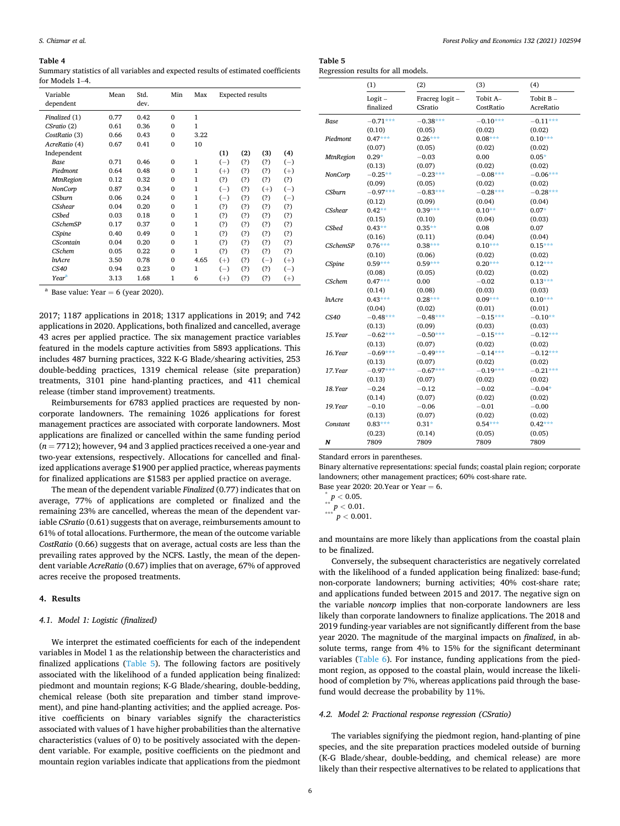#### <span id="page-5-0"></span>**Table 4**

Summary statistics of all variables and expected results of estimated coefficients for Models 1–4.

| Variable<br>dependent | Mean | Std.<br>dev. | Min          | Max          |          | <b>Expected results</b> |       |          |
|-----------------------|------|--------------|--------------|--------------|----------|-------------------------|-------|----------|
| Finalized (1)         | 0.77 | 0.42         | $\Omega$     | $\mathbf{1}$ |          |                         |       |          |
| CSratio (2)           | 0.61 | 0.36         | $\Omega$     | 1            |          |                         |       |          |
| CostRatio (3)         | 0.66 | 0.43         | $\Omega$     | 3.22         |          |                         |       |          |
| AcreRatio (4)         | 0.67 | 0.41         | $\mathbf{0}$ | 10           |          |                         |       |          |
| Independent           |      |              |              |              | (1)      | (2)                     | (3)   | (4)      |
| <b>Base</b>           | 0.71 | 0.46         | $\Omega$     | $\mathbf{1}$ | $(-)$    | (?)                     | (?)   | $(-)$    |
| Piedmont              | 0.64 | 0.48         | $\mathbf{0}$ | $\mathbf{1}$ | $(+)$    | (?)                     | (?)   | $^{(+)}$ |
| <b>MtnRegion</b>      | 0.12 | 0.32         | $\mathbf{0}$ | 1            | (?)      | (?)                     | (?)   | (?)      |
| NonCorp               | 0.87 | 0.34         | $\Omega$     | $\mathbf{1}$ | $(-)$    | (?)                     | $(+)$ | $(-)$    |
| CShırrn               | 0.06 | 0.24         | $\Omega$     | $\mathbf{1}$ | $(-)$    | (?)                     | (?)   | $(-)$    |
| <b>CSshear</b>        | 0.04 | 0.20         | $\mathbf{0}$ | $\mathbf{1}$ | (?)      | (?)                     | (?)   | (?)      |
| <b>CSbed</b>          | 0.03 | 0.18         | $\Omega$     | $\mathbf{1}$ | (?)      | (?)                     | (?)   | (?)      |
| <b>CSchemSP</b>       | 0.17 | 0.37         | $\Omega$     | $\mathbf{1}$ | (?)      | (?)                     | (?)   | (?)      |
| CSpine                | 0.40 | 0.49         | $\mathbf{0}$ | $\mathbf{1}$ | (?)      | (?)                     | (?)   | (?)      |
| <b>CScontain</b>      | 0.04 | 0.20         | $\Omega$     | 1            | (?)      | (?)                     | (?)   | (?)      |
| <b>CSchem</b>         | 0.05 | 0.22         | $\Omega$     | 1            | (?)      | (?)                     | (?)   | (?)      |
| <i>InAcre</i>         | 3.50 | 0.78         | $\mathbf{0}$ | 4.65         | $(+)$    | (?)                     | $(-)$ | $(+)$    |
| CS40                  | 0.94 | 0.23         | $\Omega$     | 1            | $(-)$    | (?)                     | (?)   | $(-)$    |
| Year <sup>a</sup>     | 3.13 | 1.68         | 1            | 6            | $^{(+)}$ | (?)                     | (?)   | $^{(+)}$ |

<sup>a</sup> Base value: Year = 6 (year 2020).

2017; 1187 applications in 2018; 1317 applications in 2019; and 742 applications in 2020. Applications, both finalized and cancelled, average 43 acres per applied practice. The six management practice variables featured in the models capture activities from 5893 applications. This includes 487 burning practices, 322 K-G Blade/shearing activities, 253 double-bedding practices, 1319 chemical release (site preparation) treatments, 3101 pine hand-planting practices, and 411 chemical release (timber stand improvement) treatments.

Reimbursements for 6783 applied practices are requested by noncorporate landowners. The remaining 1026 applications for forest management practices are associated with corporate landowners. Most applications are finalized or cancelled within the same funding period (*n* = 7712); however, 94 and 3 applied practices received a one-year and two-year extensions, respectively. Allocations for cancelled and finalized applications average \$1900 per applied practice, whereas payments for finalized applications are \$1583 per applied practice on average.

The mean of the dependent variable *Finalized* (0.77) indicates that on average, 77% of applications are completed or finalized and the remaining 23% are cancelled, whereas the mean of the dependent variable *CSratio* (0.61) suggests that on average, reimbursements amount to 61% of total allocations. Furthermore, the mean of the outcome variable *CostRatio* (0.66) suggests that on average, actual costs are less than the prevailing rates approved by the NCFS. Lastly, the mean of the dependent variable *AcreRatio* (0.67) implies that on average, 67% of approved acres receive the proposed treatments.

#### **4. Results**

## *4.1. Model 1: Logistic (finalized)*

We interpret the estimated coefficients for each of the independent variables in Model 1 as the relationship between the characteristics and finalized applications (Table 5). The following factors are positively associated with the likelihood of a funded application being finalized: piedmont and mountain regions; K-G Blade/shearing, double-bedding, chemical release (both site preparation and timber stand improvement), and pine hand-planting activities; and the applied acreage. Positive coefficients on binary variables signify the characteristics associated with values of 1 have higher probabilities than the alternative characteristics (values of 0) to be positively associated with the dependent variable. For example, positive coefficients on the piedmont and mountain region variables indicate that applications from the piedmont

| Table 5                            |  |
|------------------------------------|--|
| Regression results for all models. |  |

|                  | (1)        | (2)            | (3)        | (4)        |
|------------------|------------|----------------|------------|------------|
|                  | $Logit -$  | Fracreg logit- | Tobit A-   | Tobit B-   |
|                  | finalized  | CSratio        | CostRatio  | AcreRatio  |
| Base             | $-0.71***$ | $-0.38***$     | $-0.10***$ | $-0.11***$ |
|                  | (0.10)     | (0.05)         | (0.02)     | (0.02)     |
| Piedmont         | $0.47***$  | $0.26***$      | $0.08***$  | $0.10***$  |
|                  | (0.07)     | (0.05)         | (0.02)     | (0.02)     |
| <b>MtnRegion</b> | $0.29*$    | $-0.03$        | 0.00       | $0.05*$    |
|                  | (0.13)     | (0.07)         | (0.02)     | (0.02)     |
| NonCorp          | $-0.25**$  | $-0.23***$     | $-0.08***$ | $-0.06***$ |
|                  | (0.09)     | (0.05)         | (0.02)     | (0.02)     |
| CSburn           | $-0.97***$ | $-0.83***$     | $-0.28***$ | $-0.28***$ |
|                  | (0.12)     | (0.09)         | (0.04)     | (0.04)     |
| <b>CSshear</b>   | $0.42**$   | $0.39***$      | $0.10**$   | $0.07*$    |
|                  | (0.15)     | (0.10)         | (0.04)     | (0.03)     |
| <b>CSbed</b>     | $0.43**$   | $0.35**$       | 0.08       | 0.07       |
|                  | (0.16)     | (0.11)         | (0.04)     | (0.04)     |
| <b>CSchemSP</b>  | $0.76***$  | $0.38***$      | $0.10***$  | $0.15***$  |
|                  | (0.10)     | (0.06)         | (0.02)     | (0.02)     |
| CSpine           | $0.59***$  | $0.59***$      | $0.20***$  | $0.12***$  |
|                  | (0.08)     | (0.05)         | (0.02)     | (0.02)     |
| CSchem           | $0.47***$  | 0.00           | $-0.02$    | $0.13***$  |
|                  | (0.14)     | (0.08)         | (0.03)     | (0.03)     |
| <i>lnAcre</i>    | $0.43***$  | $0.28***$      | $0.09***$  | $0.10***$  |
|                  | (0.04)     | (0.02)         | (0.01)     | (0.01)     |
| CS40             | $-0.48***$ | $-0.48***$     | $-0.15***$ | $-0.10**$  |
|                  | (0.13)     | (0.09)         | (0.03)     | (0.03)     |
| 15.Year          | $-0.62***$ | $-0.50***$     | $-0.15***$ | $-0.12***$ |
|                  | (0.13)     | (0.07)         | (0.02)     | (0.02)     |
| 16.Year          | $-0.69***$ | $-0.49***$     | $-0.14***$ | $-0.12***$ |
|                  | (0.13)     | (0.07)         | (0.02)     | (0.02)     |
| 17.Year          | $-0.97***$ | $-0.67***$     | $-0.19***$ | $-0.21***$ |
|                  | (0.13)     | (0.07)         | (0.02)     | (0.02)     |
| 18.Year          | $-0.24$    | $-0.12$        | $-0.02$    | $-0.04*$   |
|                  | (0.14)     | (0.07)         | (0.02)     | (0.02)     |
| 19.Year          | $-0.10$    | $-0.06$        | $-0.01$    | $-0.00$    |
|                  | (0.13)     | (0.07)         | (0.02)     | (0.02)     |
| Constant         | $0.83***$  | $0.31*$        | $0.54***$  | $0.42***$  |
|                  | (0.23)     | (0.14)         | (0.05)     | (0.05)     |
| N                | 7809       | 7809           | 7809       | 7809       |

Standard errors in parentheses.

Binary alternative representations: special funds; coastal plain region; corporate landowners; other management practices; 60% cost-share rate.

Base year 2020: 20.Year or Year <sup>=</sup> 6. \* *<sup>p</sup><sup>&</sup>lt;* 0.05. \*\* *<sup>p</sup><sup>&</sup>lt;* 0.01. \*\*\* *<sup>p</sup><sup>&</sup>lt;* 0.001.

and mountains are more likely than applications from the coastal plain to be finalized.

Conversely, the subsequent characteristics are negatively correlated with the likelihood of a funded application being finalized: base-fund; non-corporate landowners; burning activities; 40% cost-share rate; and applications funded between 2015 and 2017. The negative sign on the variable *noncorp* implies that non-corporate landowners are less likely than corporate landowners to finalize applications. The 2018 and 2019 funding-year variables are not significantly different from the base year 2020. The magnitude of the marginal impacts on *finalized*, in absolute terms, range from 4% to 15% for the significant determinant variables [\(Table 6\)](#page-6-0). For instance, funding applications from the piedmont region, as opposed to the coastal plain, would increase the likelihood of completion by 7%, whereas applications paid through the basefund would decrease the probability by 11%.

## *4.2. Model 2: Fractional response regression (CSratio)*

The variables signifying the piedmont region, hand-planting of pine species, and the site preparation practices modeled outside of burning (K-G Blade/shear, double-bedding, and chemical release) are more likely than their respective alternatives to be related to applications that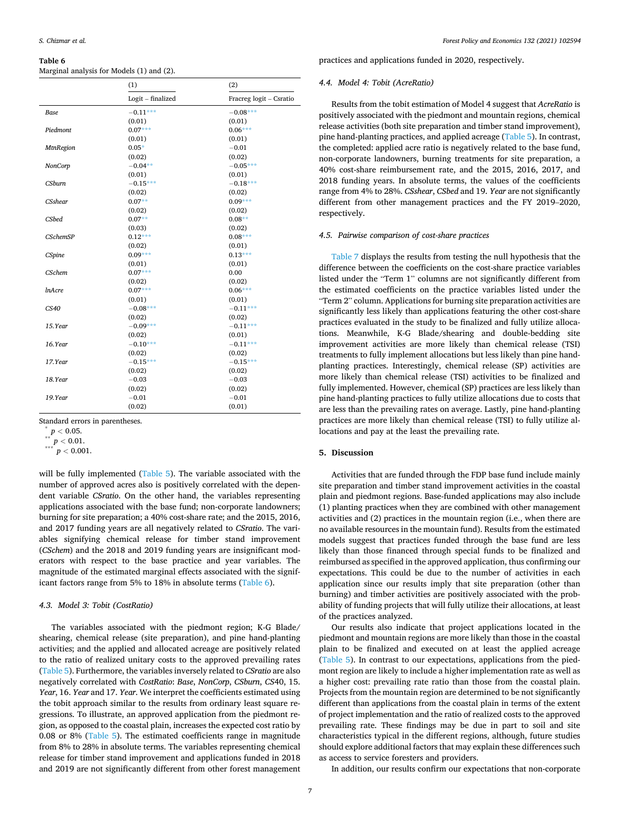#### <span id="page-6-0"></span>**Table 6**

Marginal analysis for Models (1) and (2).

|                  | (1)               | (2)                     |
|------------------|-------------------|-------------------------|
|                  | Logit - finalized | Fracreg logit - Csratio |
| Base             | $-0.11***$        | $-0.08***$              |
|                  | (0.01)            | (0.01)                  |
| Piedmont         | $0.07***$         | $0.06***$               |
|                  | (0.01)            | (0.01)                  |
| <b>MtnRegion</b> | $0.05*$           | $-0.01$                 |
|                  | (0.02)            | (0.02)                  |
| NonCorp          | $-0.04**$         | $-0.05***$              |
|                  | (0.01)            | (0.01)                  |
| <b>CSburn</b>    | $-0.15***$        | $-0.18***$              |
|                  | (0.02)            | (0.02)                  |
| <b>CSshear</b>   | $0.07**$          | $0.09***$               |
|                  | (0.02)            | (0.02)                  |
| CSbed            | $0.07**$          | $0.08**$                |
|                  | (0.03)            | (0.02)                  |
| <b>CSchemSP</b>  | $0.12***$         | $0.08***$               |
|                  | (0.02)            | (0.01)                  |
| CSpine           | $0.09***$         | $0.13***$               |
|                  | (0.01)            | (0.01)                  |
| <b>CSchem</b>    | $0.07***$         | 0.00                    |
|                  | (0.02)            | (0.02)                  |
| <i>InAcre</i>    | $0.07***$         | $0.06***$               |
|                  | (0.01)            | (0.01)                  |
| CS40             | $-0.08***$        | $-0.11***$              |
|                  | (0.02)            | (0.02)                  |
| 15.Year          | $-0.09***$        | $-0.11***$              |
|                  | (0.02)            | (0.01)                  |
| 16.Year          | $-0.10***$        | $-0.11***$              |
|                  | (0.02)            | (0.02)                  |
| 17.Year          | $-0.15***$        | $-0.15***$              |
|                  | (0.02)            | (0.02)                  |
| 18.Year          | $-0.03$           | $-0.03$                 |
|                  | (0.02)            | (0.02)                  |
| 19.Year          | $-0.01$           | $-0.01$                 |
|                  | (0.02)            | (0.01)                  |

Standard errors in parentheses. \* *<sup>p</sup><sup>&</sup>lt;* 0.05. \*\* *<sup>p</sup><sup>&</sup>lt;* 0.01. \*\*\* *<sup>p</sup><sup>&</sup>lt;* 0.001.

will be fully implemented ([Table 5\)](#page-5-0). The variable associated with the number of approved acres also is positively correlated with the dependent variable *CSratio*. On the other hand, the variables representing applications associated with the base fund; non-corporate landowners; burning for site preparation; a 40% cost-share rate; and the 2015, 2016, and 2017 funding years are all negatively related to *CSratio*. The variables signifying chemical release for timber stand improvement (*CSchem*) and the 2018 and 2019 funding years are insignificant moderators with respect to the base practice and year variables. The magnitude of the estimated marginal effects associated with the significant factors range from 5% to 18% in absolute terms (Table 6).

# *4.3. Model 3: Tobit (CostRatio)*

The variables associated with the piedmont region; K-G Blade/ shearing, chemical release (site preparation), and pine hand-planting activities; and the applied and allocated acreage are positively related to the ratio of realized unitary costs to the approved prevailing rates ([Table 5](#page-5-0)). Furthermore, the variables inversely related to *CSratio* are also negatively correlated with *CostRatio*: *Base*, *NonCorp*, *CSburn*, *CS*40, 15. *Year*, 16. *Year* and 17. *Year*. We interpret the coefficients estimated using the tobit approach similar to the results from ordinary least square regressions. To illustrate, an approved application from the piedmont region, as opposed to the coastal plain, increases the expected cost ratio by 0.08 or 8% ([Table 5](#page-5-0)). The estimated coefficients range in magnitude from 8% to 28% in absolute terms. The variables representing chemical release for timber stand improvement and applications funded in 2018 and 2019 are not significantly different from other forest management

practices and applications funded in 2020, respectively.

## *4.4. Model 4: Tobit (AcreRatio)*

Results from the tobit estimation of Model 4 suggest that *AcreRatio* is positively associated with the piedmont and mountain regions, chemical release activities (both site preparation and timber stand improvement), pine hand-planting practices, and applied acreage [\(Table 5\)](#page-5-0). In contrast, the completed: applied acre ratio is negatively related to the base fund, non-corporate landowners, burning treatments for site preparation, a 40% cost-share reimbursement rate, and the 2015, 2016, 2017, and 2018 funding years. In absolute terms, the values of the coefficients range from 4% to 28%. *CSshear*, *CSbed* and 19. *Year* are not significantly different from other management practices and the FY 2019–2020, respectively.

## *4.5. Pairwise comparison of cost-share practices*

[Table 7](#page-7-0) displays the results from testing the null hypothesis that the difference between the coefficients on the cost-share practice variables listed under the "Term 1" columns are not significantly different from the estimated coefficients on the practice variables listed under the "Term 2" column. Applications for burning site preparation activities are significantly less likely than applications featuring the other cost-share practices evaluated in the study to be finalized and fully utilize allocations. Meanwhile, K-G Blade/shearing and double-bedding site improvement activities are more likely than chemical release (TSI) treatments to fully implement allocations but less likely than pine handplanting practices. Interestingly, chemical release (SP) activities are more likely than chemical release (TSI) activities to be finalized and fully implemented. However, chemical (SP) practices are less likely than pine hand-planting practices to fully utilize allocations due to costs that are less than the prevailing rates on average. Lastly, pine hand-planting practices are more likely than chemical release (TSI) to fully utilize allocations and pay at the least the prevailing rate.

# **5. Discussion**

Activities that are funded through the FDP base fund include mainly site preparation and timber stand improvement activities in the coastal plain and piedmont regions. Base-funded applications may also include (1) planting practices when they are combined with other management activities and (2) practices in the mountain region (i.e., when there are no available resources in the mountain fund). Results from the estimated models suggest that practices funded through the base fund are less likely than those financed through special funds to be finalized and reimbursed as specified in the approved application, thus confirming our expectations. This could be due to the number of activities in each application since our results imply that site preparation (other than burning) and timber activities are positively associated with the probability of funding projects that will fully utilize their allocations, at least of the practices analyzed.

Our results also indicate that project applications located in the piedmont and mountain regions are more likely than those in the coastal plain to be finalized and executed on at least the applied acreage ([Table 5\)](#page-5-0). In contrast to our expectations, applications from the piedmont region are likely to include a higher implementation rate as well as a higher cost: prevailing rate ratio than those from the coastal plain. Projects from the mountain region are determined to be not significantly different than applications from the coastal plain in terms of the extent of project implementation and the ratio of realized costs to the approved prevailing rate. These findings may be due in part to soil and site characteristics typical in the different regions, although, future studies should explore additional factors that may explain these differences such as access to service foresters and providers.

In addition, our results confirm our expectations that non-corporate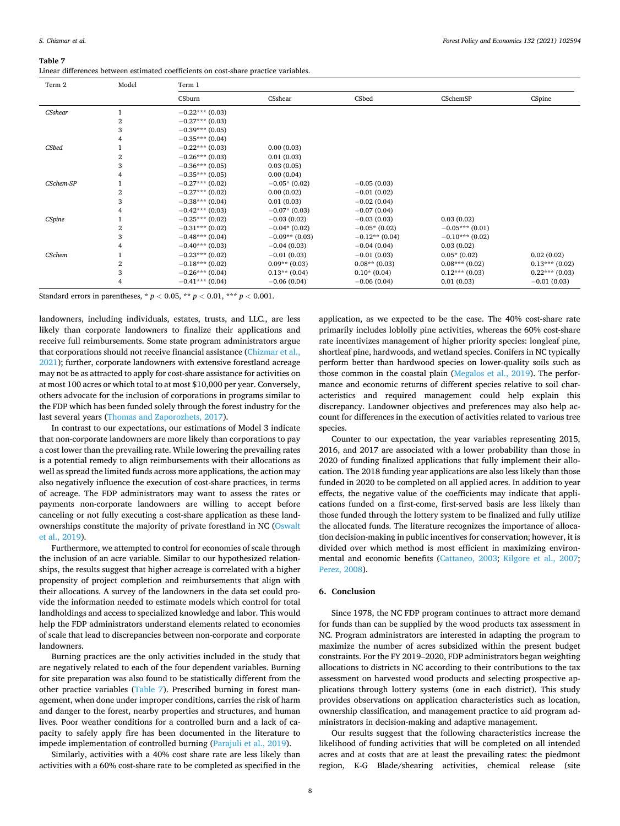#### <span id="page-7-0"></span>**Table 7**

| Term 2        | Model | Term 1            |                  |                  |                   |                 |  |  |
|---------------|-------|-------------------|------------------|------------------|-------------------|-----------------|--|--|
|               |       | CSburn            | CSshear          | CSbed            | CSchemSP          | CSpine          |  |  |
| CSshear       |       | $-0.22***(0.03)$  |                  |                  |                   |                 |  |  |
|               | 2     | $-0.27***$ (0.03) |                  |                  |                   |                 |  |  |
|               | 3     | $-0.39***$ (0.05) |                  |                  |                   |                 |  |  |
|               | 4     | $-0.35***(0.04)$  |                  |                  |                   |                 |  |  |
| CSbed         |       | $-0.22***(0.03)$  | 0.00(0.03)       |                  |                   |                 |  |  |
|               | 2     | $-0.26***(0.03)$  | 0.01(0.03)       |                  |                   |                 |  |  |
|               | 3     | $-0.36***(0.05)$  | 0.03(0.05)       |                  |                   |                 |  |  |
|               |       | $-0.35***(0.05)$  | 0.00(0.04)       |                  |                   |                 |  |  |
| CSchem-SP     |       | $-0.27***(0.02)$  | $-0.05*(0.02)$   | $-0.05(0.03)$    |                   |                 |  |  |
|               | 2     | $-0.27***$ (0.02) | 0.00(0.02)       | $-0.01(0.02)$    |                   |                 |  |  |
|               | 3     | $-0.38***(0.04)$  | 0.01(0.03)       | $-0.02(0.04)$    |                   |                 |  |  |
|               |       | $-0.42***(0.03)$  | $-0.07*(0.03)$   | $-0.07(0.04)$    |                   |                 |  |  |
| <b>CSpine</b> |       | $-0.25***(0.02)$  | $-0.03(0.02)$    | $-0.03(0.03)$    | 0.03(0.02)        |                 |  |  |
|               | 2     | $-0.31***$ (0.02) | $-0.04*(0.02)$   | $-0.05*(0.02)$   | $-0.05***(0.01)$  |                 |  |  |
|               | 3     | $-0.48***$ (0.04) | $-0.09**$ (0.03) | $-0.12**$ (0.04) | $-0.10***$ (0.02) |                 |  |  |
|               |       | $-0.40***$ (0.03) | $-0.04(0.03)$    | $-0.04(0.04)$    | 0.03(0.02)        |                 |  |  |
| CSchem        |       | $-0.23***(0.02)$  | $-0.01(0.03)$    | $-0.01(0.03)$    | $0.05*(0.02)$     | 0.02(0.02)      |  |  |
|               | 2     | $-0.18***$ (0.02) | $0.09**$ (0.03)  | $0.08**$ (0.03)  | $0.08***(0.02)$   | $0.13***(0.02)$ |  |  |
|               | 3     | $-0.26***(0.04)$  | $0.13**$ (0.04)  | $0.10*(0.04)$    | $0.12***(0.03)$   | $0.22***(0.03)$ |  |  |
|               |       | $-0.41***$ (0.04) | $-0.06(0.04)$    | $-0.06(0.04)$    | 0.01(0.03)        | $-0.01(0.03)$   |  |  |

Standard errors in parentheses,  $* p < 0.05$ ,  $** p < 0.01$ ,  $** p < 0.001$ .

landowners, including individuals, estates, trusts, and LLC., are less likely than corporate landowners to finalize their applications and receive full reimbursements. Some state program administrators argue that corporations should not receive financial assistance (Chizmar et al., [2021\)](#page-8-0); further, corporate landowners with extensive forestland acreage may not be as attracted to apply for cost-share assistance for activities on at most 100 acres or which total to at most \$10,000 per year. Conversely, others advocate for the inclusion of corporations in programs similar to the FDP which has been funded solely through the forest industry for the last several years [\(Thomas and Zaporozhets, 2017](#page-9-0)).

In contrast to our expectations, our estimations of Model 3 indicate that non-corporate landowners are more likely than corporations to pay a cost lower than the prevailing rate. While lowering the prevailing rates is a potential remedy to align reimbursements with their allocations as well as spread the limited funds across more applications, the action may also negatively influence the execution of cost-share practices, in terms of acreage. The FDP administrators may want to assess the rates or payments non-corporate landowners are willing to accept before canceling or not fully executing a cost-share application as these landownerships constitute the majority of private forestland in NC [\(Oswalt](#page-9-0)  [et al., 2019\)](#page-9-0).

Furthermore, we attempted to control for economies of scale through the inclusion of an acre variable. Similar to our hypothesized relationships, the results suggest that higher acreage is correlated with a higher propensity of project completion and reimbursements that align with their allocations. A survey of the landowners in the data set could provide the information needed to estimate models which control for total landholdings and access to specialized knowledge and labor. This would help the FDP administrators understand elements related to economies of scale that lead to discrepancies between non-corporate and corporate landowners.

Burning practices are the only activities included in the study that are negatively related to each of the four dependent variables. Burning for site preparation was also found to be statistically different from the other practice variables (Table 7). Prescribed burning in forest management, when done under improper conditions, carries the risk of harm and danger to the forest, nearby properties and structures, and human lives. Poor weather conditions for a controlled burn and a lack of capacity to safely apply fire has been documented in the literature to impede implementation of controlled burning ([Parajuli et al., 2019\)](#page-9-0).

Similarly, activities with a 40% cost share rate are less likely than activities with a 60% cost-share rate to be completed as specified in the

application, as we expected to be the case. The 40% cost-share rate primarily includes loblolly pine activities, whereas the 60% cost-share rate incentivizes management of higher priority species: longleaf pine, shortleaf pine, hardwoods, and wetland species. Conifers in NC typically perform better than hardwood species on lower-quality soils such as those common in the coastal plain [\(Megalos et al., 2019](#page-8-0)). The performance and economic returns of different species relative to soil characteristics and required management could help explain this discrepancy. Landowner objectives and preferences may also help account for differences in the execution of activities related to various tree species.

Counter to our expectation, the year variables representing 2015, 2016, and 2017 are associated with a lower probability than those in 2020 of funding finalized applications that fully implement their allocation. The 2018 funding year applications are also less likely than those funded in 2020 to be completed on all applied acres. In addition to year effects, the negative value of the coefficients may indicate that applications funded on a first-come, first-served basis are less likely than those funded through the lottery system to be finalized and fully utilize the allocated funds. The literature recognizes the importance of allocation decision-making in public incentives for conservation; however, it is divided over which method is most efficient in maximizing environmental and economic benefits ([Cattaneo, 2003;](#page-8-0) [Kilgore et al., 2007](#page-8-0); [Perez, 2008](#page-9-0)).

# **6. Conclusion**

Since 1978, the NC FDP program continues to attract more demand for funds than can be supplied by the wood products tax assessment in NC. Program administrators are interested in adapting the program to maximize the number of acres subsidized within the present budget constraints. For the FY 2019–2020, FDP administrators began weighting allocations to districts in NC according to their contributions to the tax assessment on harvested wood products and selecting prospective applications through lottery systems (one in each district). This study provides observations on application characteristics such as location, ownership classification, and management practice to aid program administrators in decision-making and adaptive management.

Our results suggest that the following characteristics increase the likelihood of funding activities that will be completed on all intended acres and at costs that are at least the prevailing rates: the piedmont region, K-G Blade/shearing activities, chemical release (site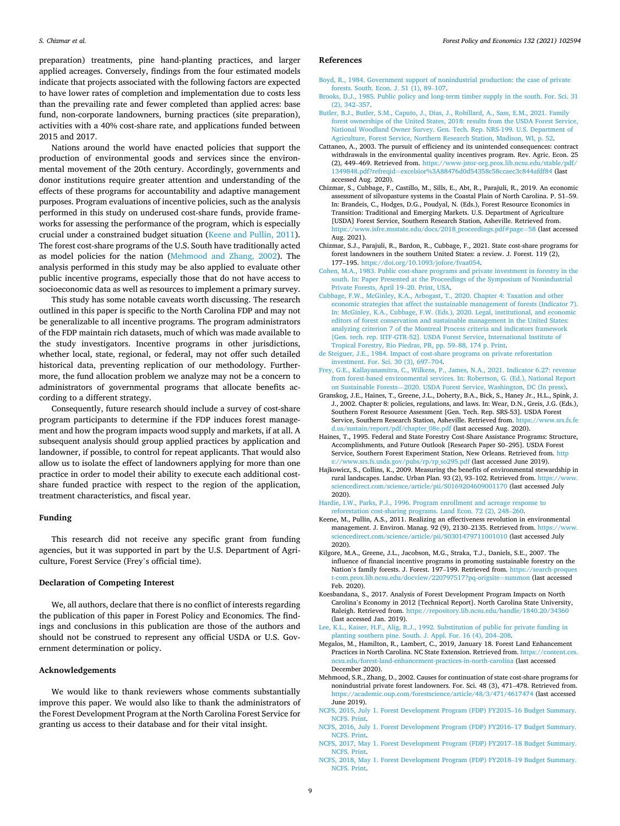<span id="page-8-0"></span>preparation) treatments, pine hand-planting practices, and larger applied acreages. Conversely, findings from the four estimated models indicate that projects associated with the following factors are expected to have lower rates of completion and implementation due to costs less than the prevailing rate and fewer completed than applied acres: base fund, non-corporate landowners, burning practices (site preparation), activities with a 40% cost-share rate, and applications funded between 2015 and 2017.

Nations around the world have enacted policies that support the production of environmental goods and services since the environmental movement of the 20th century. Accordingly, governments and donor institutions require greater attention and understanding of the effects of these programs for accountability and adaptive management purposes. Program evaluations of incentive policies, such as the analysis performed in this study on underused cost-share funds, provide frameworks for assessing the performance of the program, which is especially crucial under a constrained budget situation (Keene and Pullin, 2011). The forest cost-share programs of the U.S. South have traditionally acted as model policies for the nation (Mehmood and Zhang, 2002). The analysis performed in this study may be also applied to evaluate other public incentive programs, especially those that do not have access to socioeconomic data as well as resources to implement a primary survey.

This study has some notable caveats worth discussing. The research outlined in this paper is specific to the North Carolina FDP and may not be generalizable to all incentive programs. The program administrators of the FDP maintain rich datasets, much of which was made available to the study investigators. Incentive programs in other jurisdictions, whether local, state, regional, or federal, may not offer such detailed historical data, preventing replication of our methodology. Furthermore, the fund allocation problem we analyze may not be a concern to administrators of governmental programs that allocate benefits according to a different strategy.

Consequently, future research should include a survey of cost-share program participants to determine if the FDP induces forest management and how the program impacts wood supply and markets, if at all. A subsequent analysis should group applied practices by application and landowner, if possible, to control for repeat applicants. That would also allow us to isolate the effect of landowners applying for more than one practice in order to model their ability to execute each additional costshare funded practice with respect to the region of the application, treatment characteristics, and fiscal year.

#### **Funding**

This research did not receive any specific grant from funding agencies, but it was supported in part by the U.S. Department of Agriculture, Forest Service (Frey's official time).

#### **Declaration of Competing Interest**

We, all authors, declare that there is no conflict of interests regarding the publication of this paper in Forest Policy and Economics. The findings and conclusions in this publication are those of the authors and should not be construed to represent any official USDA or U.S. Government determination or policy.

#### **Acknowledgements**

We would like to thank reviewers whose comments substantially improve this paper. We would also like to thank the administrators of the Forest Development Program at the North Carolina Forest Service for granting us access to their database and for their vital insight.

#### **References**

- [Boyd, R., 1984. Government support of nonindustrial production: the case of private](http://refhub.elsevier.com/S1389-9341(21)00200-8/rf0005) [forests. South. Econ. J. 51 \(1\), 89](http://refhub.elsevier.com/S1389-9341(21)00200-8/rf0005)–107.
- [Brooks, D.J., 1985. Public policy and long-term timber supply in the south. For. Sci. 31](http://refhub.elsevier.com/S1389-9341(21)00200-8/rf0010)  [\(2\), 342](http://refhub.elsevier.com/S1389-9341(21)00200-8/rf0010)–357.
- [Butler, B.J., Butler, S.M., Caputo, J., Dias, J., Robillard, A., Sass, E.M., 2021. Family](http://refhub.elsevier.com/S1389-9341(21)00200-8/rf0015) [forest ownerships of the United States, 2018: results from the USDA Forest Service,](http://refhub.elsevier.com/S1389-9341(21)00200-8/rf0015)  [National Woodland Owner Survey. Gen. Tech. Rep. NRS-199. U.S. Department of](http://refhub.elsevier.com/S1389-9341(21)00200-8/rf0015)  [Agriculture, Forest Service, Northern Research Station, Madison, WI, p. 52.](http://refhub.elsevier.com/S1389-9341(21)00200-8/rf0015)
- Cattaneo, A., 2003. The pursuit of efficiency and its unintended consequences: contract withdrawals in the environmental quality incentives program. Rev. Agric. Econ. 25 (2), 449–469. Retrieved from. [https://www-jstor-org.prox.lib.ncsu.edu/stable/pdf/](https://www-jstor-org.prox.lib.ncsu.edu/stable/pdf/1349848.pdf?refreqid=excelsior%3A88476d0d54358c58ccaec3c844afdf84)  1349848.pdf?refreqid=[excelsior%3A88476d0d54358c58ccaec3c844afdf84](https://www-jstor-org.prox.lib.ncsu.edu/stable/pdf/1349848.pdf?refreqid=excelsior%3A88476d0d54358c58ccaec3c844afdf84) (last accessed Aug. 2020).
- Chizmar, S., Cubbage, F., Castillo, M., Sills, E., Abt, R., Parajuli, R., 2019. An economic assessment of silvopasture systems in the Coastal Plain of North Carolina. P. 51–59. In: Brandeis, C., Hodges, D.G., Poudyal, N. (Eds.), Forest Resource Economics in Transition: Traditional and Emerging Markets. U.S. Department of Agriculture [USDA] Forest Service, Southern Research Station, Asheville. Retrieved from. [https://www.isfre.msstate.edu/docs/2018\\_proceedings.pdf#page](https://www.isfre.msstate.edu/docs/2018_proceedings.pdf#page=58)=58 (last accessed Aug. 2021).
- Chizmar, S.J., Parajuli, R., Bardon, R., Cubbage, F., 2021. State cost-share programs for forest landowners in the southern United States: a review. J. Forest. 119 (2), 177–195. <https://doi.org/10.1093/jofore/fvaa054>.
- [Cohen, M.A., 1983. Public cost-share programs and private investment in forestry in the](http://refhub.elsevier.com/S1389-9341(21)00200-8/rf0035)  [south. In: Paper Presented at the Proceedings of the Symposium of Nonindustrial](http://refhub.elsevier.com/S1389-9341(21)00200-8/rf0035)  [Private Forests, April 19](http://refhub.elsevier.com/S1389-9341(21)00200-8/rf0035)–20. Print, USA.
- [Cubbage, F.W., McGinley, K.A., Arbogast, T., 2020. Chapter 4: Taxation and other](http://refhub.elsevier.com/S1389-9341(21)00200-8/rf0040) [economic strategies that affect the sustainable management of forests \(Indicator 7\).](http://refhub.elsevier.com/S1389-9341(21)00200-8/rf0040)  [In: McGinley, K.A., Cubbage, F.W. \(Eds.\), 2020. Legal, institutional, and economic](http://refhub.elsevier.com/S1389-9341(21)00200-8/rf0040)  [editors of forest conservation and sustainable management in the United States:](http://refhub.elsevier.com/S1389-9341(21)00200-8/rf0040)  [analyzing criterion 7 of the Montreal Process criteria and indicators framework](http://refhub.elsevier.com/S1389-9341(21)00200-8/rf0040) [\[Gen. tech. rep. IITF-GTR-52\]. USDA Forest Service, International Institute of](http://refhub.elsevier.com/S1389-9341(21)00200-8/rf0040) [Tropical Forestry, Rio Piedras, PR, pp. 59](http://refhub.elsevier.com/S1389-9341(21)00200-8/rf0040)–88, 174 p. Print.
- [de Steiguer, J.E., 1984. Impact of cost-share programs on private reforestation](http://refhub.elsevier.com/S1389-9341(21)00200-8/rf0045)  [investment. For. Sci. 30 \(3\), 697](http://refhub.elsevier.com/S1389-9341(21)00200-8/rf0045)–704.
- [Frey, G.E., Kallayanamitra, C., Wilkens, P., James, N.A., 2021. Indicator 6.27: revenue](http://refhub.elsevier.com/S1389-9341(21)00200-8/rf0050)  [from forest-based environmental services. In: Robertson, G. \(Ed.\), National Report](http://refhub.elsevier.com/S1389-9341(21)00200-8/rf0050)  on Sustainable Forests—[2020. USDA Forest Service, Washington, DC \(In press\).](http://refhub.elsevier.com/S1389-9341(21)00200-8/rf0050)
- Granskog, J.E., Haines, T., Greene, J.L., Doherty, B.A., Bick, S., Haney Jr., H.L., Spink, J. J., 2002. Chapter 8: policies, regulations, and laws. In: Wear, D.N., Greis, J.G. (Eds.), Southern Forest Resource Assessment [Gen. Tech. Rep. SRS-53]. USDA Forest Service, Southern Research Station, Asheville. Retrieved from. [https://www.srs.fs.fe](https://www.srs.fs.fed.us/sustain/report/pdf/chapter_08e.pdf)  [d.us/sustain/report/pdf/chapter\\_08e.pdf](https://www.srs.fs.fed.us/sustain/report/pdf/chapter_08e.pdf) (last accessed Aug. 2020).
- Haines, T., 1995. Federal and State Forestry Cost-Share Assistance Programs: Structure, Accomplishments, and Future Outlook [Research Paper S0–295]. USDA Forest Service, Southern Forest Experiment Station, New Orleans. Retrieved from. [http](https://www.srs.fs.usda.gov/pubs/rp/rp_so295.pdf)  [s://www.srs.fs.usda.gov/pubs/rp/rp\\_so295.pdf](https://www.srs.fs.usda.gov/pubs/rp/rp_so295.pdf) (last accessed June 2019).
- Hajkowicz, S., Collins, K., 2009. Measuring the benefits of environmental stewardship in rural landscapes. Landsc. Urban Plan. 93 (2), 93-102. Retrieved from. https:// [sciencedirect.com/science/article/pii/S0169204609001170](https://www.sciencedirect.com/science/article/pii/S0169204609001170) (last accessed July 2020).
- [Hardie, I.W., Parks, P.J., 1996. Program enrollment and acreage response to](http://refhub.elsevier.com/S1389-9341(21)00200-8/rf0070)  [reforestation cost-sharing programs. Land Econ](http://refhub.elsevier.com/S1389-9341(21)00200-8/rf0070)*.* 72 (2), 248–260.
- Keene, M., Pullin, A.S., 2011. Realizing an effectiveness revolution in environmental management. J. Environ. Manag. 92 (9), 2130-2135. Retrieved from. https:// [sciencedirect.com/science/article/pii/S0301479711001010](https://www.sciencedirect.com/science/article/pii/S0301479711001010) (last accessed July 2020).
- Kilgore, M.A., Greene, J.L., Jacobson, M.G., Straka, T.J., Daniels, S.E., 2007. The influence of financial incentive programs in promoting sustainable forestry on the Nation's family forests. J. Forest. 197–199. Retrieved from. [https://search-proques](https://search-proquest-com.prox.lib.ncsu.edu/docview/220797517?pq-origsite=summon)  [t-com.prox.lib.ncsu.edu/docview/220797517?pq-origsite](https://search-proquest-com.prox.lib.ncsu.edu/docview/220797517?pq-origsite=summon)=summon (last accessed Feb. 2020).
- Koesbandana, S., 2017. Analysis of Forest Development Program Impacts on North Carolina's Economy in 2012 [Technical Report]. North Carolina State University, Raleigh. Retrieved from.<https://repository.lib.ncsu.edu/handle/1840.20/34360> (last accessed Jan. 2019).
- [Lee, K.L., Kaiser, H.F., Alig, R.J., 1992. Substitution of public for private funding in](http://refhub.elsevier.com/S1389-9341(21)00200-8/rf0090)  [planting southern pine. South. J. Appl. For. 16 \(4\), 204](http://refhub.elsevier.com/S1389-9341(21)00200-8/rf0090)–208.
- Megalos, M., Hamilton, R., Lambert, C., 2019, January 18. Forest Land Enhancement Practices in North Carolina. NC State Extension. Retrieved from. [https://content.ces.](https://content.ces.ncsu.edu/forest-land-enhancement-practices-in-north-carolina)  [ncsu.edu/forest-land-enhancement-practices-in-north-carolina](https://content.ces.ncsu.edu/forest-land-enhancement-practices-in-north-carolina) (last accessed December 2020).
- Mehmood, S.R., Zhang, D., 2002. Causes for continuation of state cost-share programs for nonindustrial private forest landowners. For. Sci. 48 (3), 471–478. Retrieved from. <https://academic.oup.com/forestscience/article/48/3/471/4617474>(last accessed June 2019).
- [NCFS, 2015, July 1. Forest Development Program \(FDP\) FY2015](http://refhub.elsevier.com/S1389-9341(21)00200-8/rf0105)–16 Budget Summary. [NCFS. Print.](http://refhub.elsevier.com/S1389-9341(21)00200-8/rf0105)
- [NCFS, 2016, July 1. Forest Development Program \(FDP\) FY2016](http://refhub.elsevier.com/S1389-9341(21)00200-8/rf0110)–17 Budget Summary. [NCFS. Print.](http://refhub.elsevier.com/S1389-9341(21)00200-8/rf0110)
- [NCFS, 2017, May 1. Forest Development Program \(FDP\) FY2017](http://refhub.elsevier.com/S1389-9341(21)00200-8/rf0115)–18 Budget Summary. [NCFS. Print.](http://refhub.elsevier.com/S1389-9341(21)00200-8/rf0115)
- [NCFS, 2018, May 1. Forest Development Program \(FDP\) FY2018](http://refhub.elsevier.com/S1389-9341(21)00200-8/rf0120)–19 Budget Summary. [NCFS. Print.](http://refhub.elsevier.com/S1389-9341(21)00200-8/rf0120)